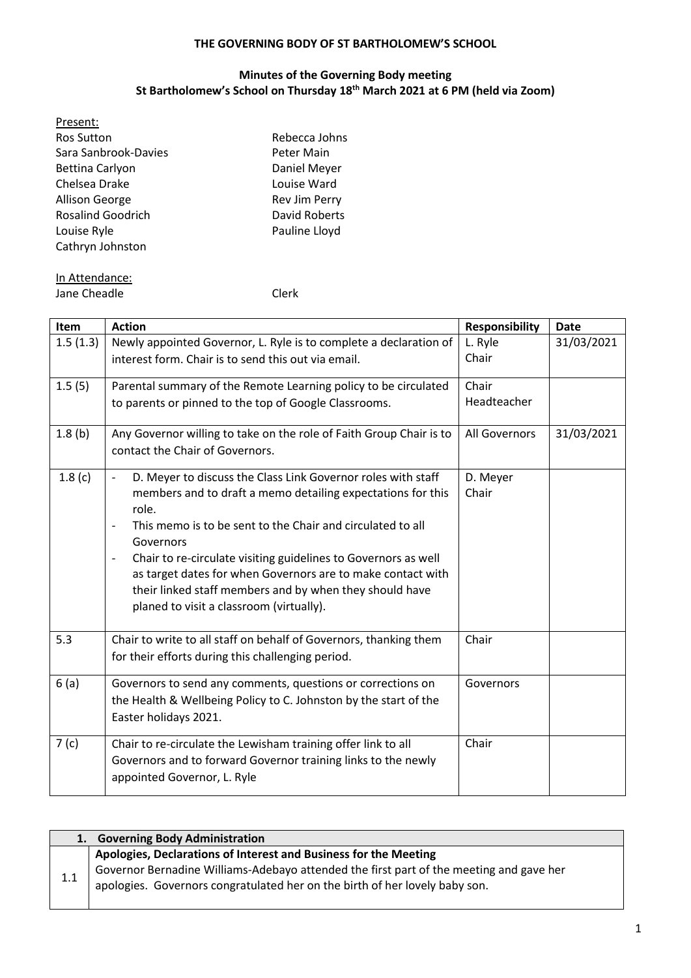#### **THE GOVERNING BODY OF ST BARTHOLOMEW'S SCHOOL**

### **Minutes of the Governing Body meeting St Bartholomew's School on Thursday 18th March 2021 at 6 PM (held via Zoom)**

| Present:                 |               |
|--------------------------|---------------|
| <b>Ros Sutton</b>        | Rebecca Johns |
| Sara Sanbrook-Davies     | Peter Main    |
| Bettina Carlyon          | Daniel Meyer  |
| Chelsea Drake            | Louise Ward   |
| Allison George           | Rev Jim Perry |
| <b>Rosalind Goodrich</b> | David Roberts |
| Louise Ryle              | Pauline Lloyd |
| Cathryn Johnston         |               |
|                          |               |

# In Attendance:

Jane Cheadle **Clerk** 

| Item     | <b>Action</b>                                                                                                                                                                                                                                                                                                                                                                                                                                                                                                                     | <b>Responsibility</b> | <b>Date</b> |
|----------|-----------------------------------------------------------------------------------------------------------------------------------------------------------------------------------------------------------------------------------------------------------------------------------------------------------------------------------------------------------------------------------------------------------------------------------------------------------------------------------------------------------------------------------|-----------------------|-------------|
| 1.5(1.3) | Newly appointed Governor, L. Ryle is to complete a declaration of<br>interest form. Chair is to send this out via email.                                                                                                                                                                                                                                                                                                                                                                                                          | L. Ryle<br>Chair      | 31/03/2021  |
| 1.5(5)   | Parental summary of the Remote Learning policy to be circulated<br>to parents or pinned to the top of Google Classrooms.                                                                                                                                                                                                                                                                                                                                                                                                          | Chair<br>Headteacher  |             |
| 1.8(b)   | Any Governor willing to take on the role of Faith Group Chair is to<br>contact the Chair of Governors.                                                                                                                                                                                                                                                                                                                                                                                                                            | All Governors         | 31/03/2021  |
| 1.8(c)   | D. Meyer to discuss the Class Link Governor roles with staff<br>$\blacksquare$<br>members and to draft a memo detailing expectations for this<br>role.<br>This memo is to be sent to the Chair and circulated to all<br>$\overline{\phantom{a}}$<br>Governors<br>Chair to re-circulate visiting guidelines to Governors as well<br>$\overline{\phantom{a}}$<br>as target dates for when Governors are to make contact with<br>their linked staff members and by when they should have<br>planed to visit a classroom (virtually). | D. Meyer<br>Chair     |             |
| 5.3      | Chair to write to all staff on behalf of Governors, thanking them<br>for their efforts during this challenging period.                                                                                                                                                                                                                                                                                                                                                                                                            | Chair                 |             |
| 6(a)     | Governors to send any comments, questions or corrections on<br>the Health & Wellbeing Policy to C. Johnston by the start of the<br>Easter holidays 2021.                                                                                                                                                                                                                                                                                                                                                                          | Governors             |             |
| 7(c)     | Chair to re-circulate the Lewisham training offer link to all<br>Governors and to forward Governor training links to the newly<br>appointed Governor, L. Ryle                                                                                                                                                                                                                                                                                                                                                                     | Chair                 |             |

|     | 1. Governing Body Administration                                                        |
|-----|-----------------------------------------------------------------------------------------|
|     | Apologies, Declarations of Interest and Business for the Meeting                        |
| 1.1 | Governor Bernadine Williams-Adebayo attended the first part of the meeting and gave her |
|     | apologies. Governors congratulated her on the birth of her lovely baby son.             |
|     |                                                                                         |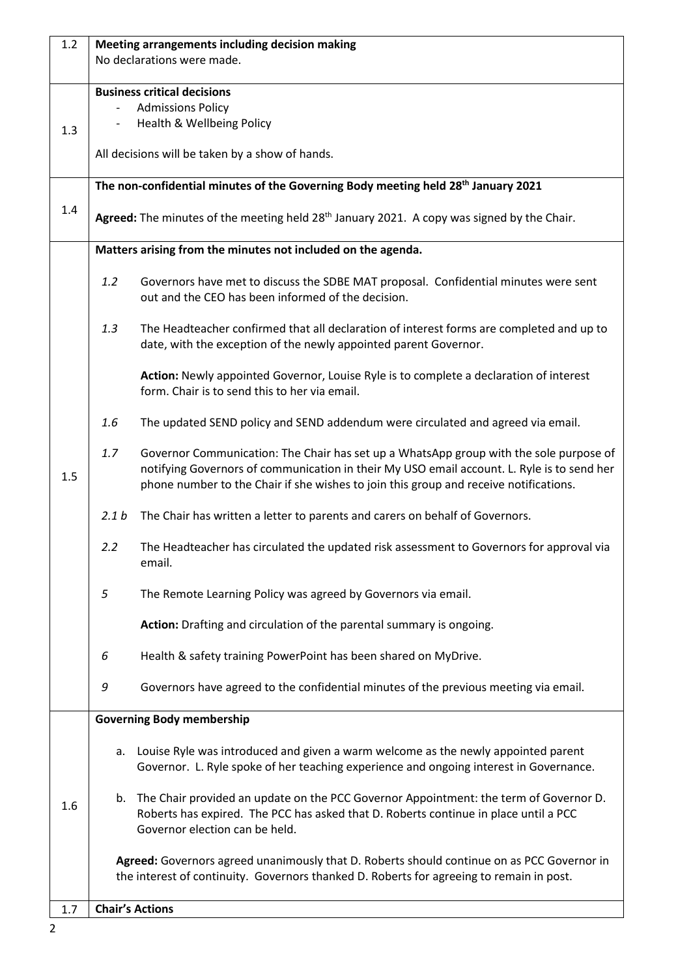| 1.2 |                  | Meeting arrangements including decision making<br>No declarations were made.                                                                                                                                                                                                  |
|-----|------------------|-------------------------------------------------------------------------------------------------------------------------------------------------------------------------------------------------------------------------------------------------------------------------------|
| 1.3 |                  | <b>Business critical decisions</b><br><b>Admissions Policy</b><br>Health & Wellbeing Policy<br>All decisions will be taken by a show of hands.                                                                                                                                |
| 1.4 |                  | The non-confidential minutes of the Governing Body meeting held 28 <sup>th</sup> January 2021<br>Agreed: The minutes of the meeting held 28 <sup>th</sup> January 2021. A copy was signed by the Chair.                                                                       |
|     |                  | Matters arising from the minutes not included on the agenda.                                                                                                                                                                                                                  |
|     | 1.2              | Governors have met to discuss the SDBE MAT proposal. Confidential minutes were sent<br>out and the CEO has been informed of the decision.                                                                                                                                     |
|     | 1.3              | The Headteacher confirmed that all declaration of interest forms are completed and up to<br>date, with the exception of the newly appointed parent Governor.                                                                                                                  |
|     |                  | Action: Newly appointed Governor, Louise Ryle is to complete a declaration of interest<br>form. Chair is to send this to her via email.                                                                                                                                       |
|     | 1.6              | The updated SEND policy and SEND addendum were circulated and agreed via email.                                                                                                                                                                                               |
| 1.5 | 1.7              | Governor Communication: The Chair has set up a WhatsApp group with the sole purpose of<br>notifying Governors of communication in their My USO email account. L. Ryle is to send her<br>phone number to the Chair if she wishes to join this group and receive notifications. |
|     | 2.1 <sub>b</sub> | The Chair has written a letter to parents and carers on behalf of Governors.                                                                                                                                                                                                  |
|     | 2.2              | The Headteacher has circulated the updated risk assessment to Governors for approval via<br>email.                                                                                                                                                                            |
|     | $\sqrt{5}$       | The Remote Learning Policy was agreed by Governors via email.                                                                                                                                                                                                                 |
|     |                  | Action: Drafting and circulation of the parental summary is ongoing.                                                                                                                                                                                                          |
|     | 6                | Health & safety training PowerPoint has been shared on MyDrive.                                                                                                                                                                                                               |
|     | 9                | Governors have agreed to the confidential minutes of the previous meeting via email.                                                                                                                                                                                          |
|     |                  | <b>Governing Body membership</b>                                                                                                                                                                                                                                              |
|     | a.               | Louise Ryle was introduced and given a warm welcome as the newly appointed parent<br>Governor. L. Ryle spoke of her teaching experience and ongoing interest in Governance.                                                                                                   |
| 1.6 |                  | b. The Chair provided an update on the PCC Governor Appointment: the term of Governor D.<br>Roberts has expired. The PCC has asked that D. Roberts continue in place until a PCC<br>Governor election can be held.                                                            |
|     |                  | Agreed: Governors agreed unanimously that D. Roberts should continue on as PCC Governor in<br>the interest of continuity. Governors thanked D. Roberts for agreeing to remain in post.                                                                                        |
| 1.7 |                  | <b>Chair's Actions</b>                                                                                                                                                                                                                                                        |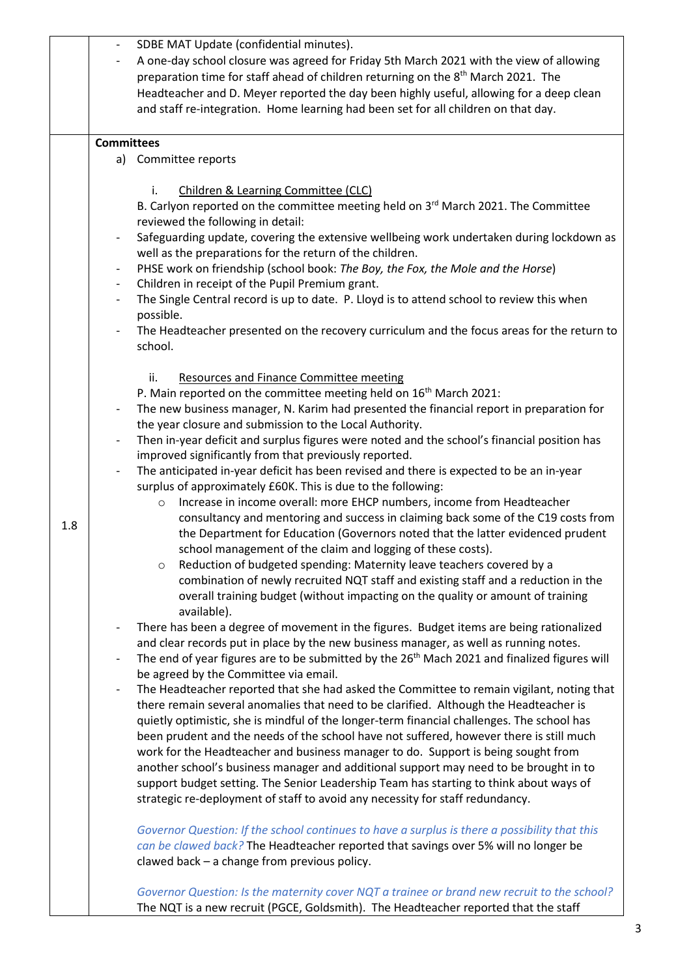|     | SDBE MAT Update (confidential minutes).                                                                                   |
|-----|---------------------------------------------------------------------------------------------------------------------------|
|     | A one-day school closure was agreed for Friday 5th March 2021 with the view of allowing                                   |
|     | preparation time for staff ahead of children returning on the 8 <sup>th</sup> March 2021. The                             |
|     | Headteacher and D. Meyer reported the day been highly useful, allowing for a deep clean                                   |
|     | and staff re-integration. Home learning had been set for all children on that day.                                        |
|     |                                                                                                                           |
|     | <b>Committees</b>                                                                                                         |
|     | a) Committee reports                                                                                                      |
|     |                                                                                                                           |
|     | Children & Learning Committee (CLC)<br>i.                                                                                 |
|     | B. Carlyon reported on the committee meeting held on 3rd March 2021. The Committee                                        |
|     | reviewed the following in detail:                                                                                         |
|     | Safeguarding update, covering the extensive wellbeing work undertaken during lockdown as<br>$\qquad \qquad \blacksquare$  |
|     | well as the preparations for the return of the children.                                                                  |
|     |                                                                                                                           |
|     | PHSE work on friendship (school book: The Boy, the Fox, the Mole and the Horse)                                           |
|     | Children in receipt of the Pupil Premium grant.<br>$\overline{\phantom{a}}$                                               |
|     | The Single Central record is up to date. P. Lloyd is to attend school to review this when<br>$\qquad \qquad \blacksquare$ |
|     | possible.                                                                                                                 |
|     | The Headteacher presented on the recovery curriculum and the focus areas for the return to                                |
|     | school.                                                                                                                   |
|     | ii.<br><b>Resources and Finance Committee meeting</b>                                                                     |
|     | P. Main reported on the committee meeting held on 16 <sup>th</sup> March 2021:                                            |
|     | The new business manager, N. Karim had presented the financial report in preparation for                                  |
|     |                                                                                                                           |
|     | the year closure and submission to the Local Authority.                                                                   |
|     | Then in-year deficit and surplus figures were noted and the school's financial position has                               |
|     | improved significantly from that previously reported.                                                                     |
|     | The anticipated in-year deficit has been revised and there is expected to be an in-year                                   |
|     | surplus of approximately £60K. This is due to the following:                                                              |
|     | Increase in income overall: more EHCP numbers, income from Headteacher<br>$\circ$                                         |
| 1.8 | consultancy and mentoring and success in claiming back some of the C19 costs from                                         |
|     | the Department for Education (Governors noted that the latter evidenced prudent                                           |
|     | school management of the claim and logging of these costs).                                                               |
|     | Reduction of budgeted spending: Maternity leave teachers covered by a<br>$\circ$                                          |
|     | combination of newly recruited NQT staff and existing staff and a reduction in the                                        |
|     | overall training budget (without impacting on the quality or amount of training                                           |
|     | available).                                                                                                               |
|     | There has been a degree of movement in the figures. Budget items are being rationalized                                   |
|     | and clear records put in place by the new business manager, as well as running notes.                                     |
|     | The end of year figures are to be submitted by the 26 <sup>th</sup> Mach 2021 and finalized figures will                  |
|     | be agreed by the Committee via email.                                                                                     |
|     | The Headteacher reported that she had asked the Committee to remain vigilant, noting that                                 |
|     | there remain several anomalies that need to be clarified. Although the Headteacher is                                     |
|     | quietly optimistic, she is mindful of the longer-term financial challenges. The school has                                |
|     | been prudent and the needs of the school have not suffered, however there is still much                                   |
|     | work for the Headteacher and business manager to do. Support is being sought from                                         |
|     | another school's business manager and additional support may need to be brought in to                                     |
|     | support budget setting. The Senior Leadership Team has starting to think about ways of                                    |
|     | strategic re-deployment of staff to avoid any necessity for staff redundancy.                                             |
|     |                                                                                                                           |
|     | Governor Question: If the school continues to have a surplus is there a possibility that this                             |
|     | can be clawed back? The Headteacher reported that savings over 5% will no longer be                                       |
|     | clawed back - a change from previous policy.                                                                              |
|     | Governor Question: Is the maternity cover NQT a trainee or brand new recruit to the school?                               |
|     | The NQT is a new recruit (PGCE, Goldsmith). The Headteacher reported that the staff                                       |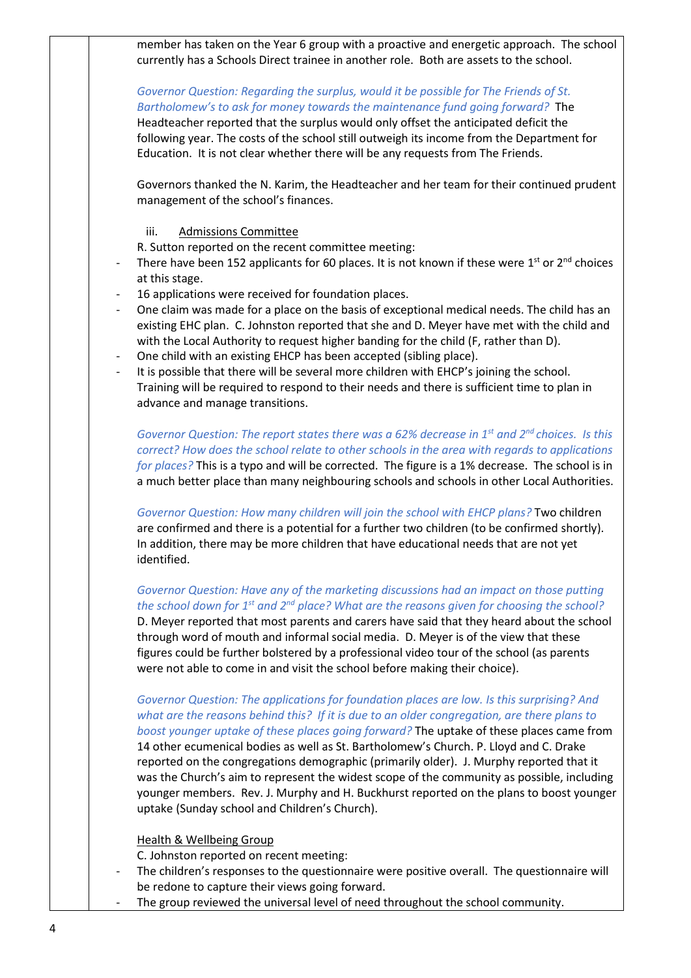member has taken on the Year 6 group with a proactive and energetic approach. The school currently has a Schools Direct trainee in another role. Both are assets to the school.

## *Governor Question: Regarding the surplus, would it be possible for The Friends of St. Bartholomew's to ask for money towards the maintenance fund going forward?* The

Headteacher reported that the surplus would only offset the anticipated deficit the following year. The costs of the school still outweigh its income from the Department for Education. It is not clear whether there will be any requests from The Friends.

Governors thanked the N. Karim, the Headteacher and her team for their continued prudent management of the school's finances.

### iii. Admissions Committee

R. Sutton reported on the recent committee meeting:

- There have been 152 applicants for 60 places. It is not known if these were  $1^{st}$  or  $2^{nd}$  choices at this stage.
- 16 applications were received for foundation places.
- One claim was made for a place on the basis of exceptional medical needs. The child has an existing EHC plan. C. Johnston reported that she and D. Meyer have met with the child and with the Local Authority to request higher banding for the child (F, rather than D).
- One child with an existing EHCP has been accepted (sibling place).
- It is possible that there will be several more children with EHCP's joining the school. Training will be required to respond to their needs and there is sufficient time to plan in advance and manage transitions.

*Governor Question: The report states there was a 62% decrease in 1st and 2nd choices. Is this correct? How does the school relate to other schools in the area with regards to applications for places?* This is a typo and will be corrected. The figure is a 1% decrease. The school is in a much better place than many neighbouring schools and schools in other Local Authorities.

*Governor Question: How many children will join the school with EHCP plans?* Two children are confirmed and there is a potential for a further two children (to be confirmed shortly). In addition, there may be more children that have educational needs that are not yet identified.

*Governor Question: Have any of the marketing discussions had an impact on those putting the school down for 1st and 2nd place? What are the reasons given for choosing the school?*  D. Meyer reported that most parents and carers have said that they heard about the school through word of mouth and informal social media. D. Meyer is of the view that these figures could be further bolstered by a professional video tour of the school (as parents were not able to come in and visit the school before making their choice).

### *Governor Question: The applications for foundation places are low. Is this surprising? And what are the reasons behind this? If it is due to an older congregation, are there plans to boost younger uptake of these places going forward?* The uptake of these places came from

14 other ecumenical bodies as well as St. Bartholomew's Church. P. Lloyd and C. Drake reported on the congregations demographic (primarily older). J. Murphy reported that it was the Church's aim to represent the widest scope of the community as possible, including younger members. Rev. J. Murphy and H. Buckhurst reported on the plans to boost younger uptake (Sunday school and Children's Church).

### Health & Wellbeing Group

C. Johnston reported on recent meeting:

- The children's responses to the questionnaire were positive overall. The questionnaire will be redone to capture their views going forward.
- The group reviewed the universal level of need throughout the school community.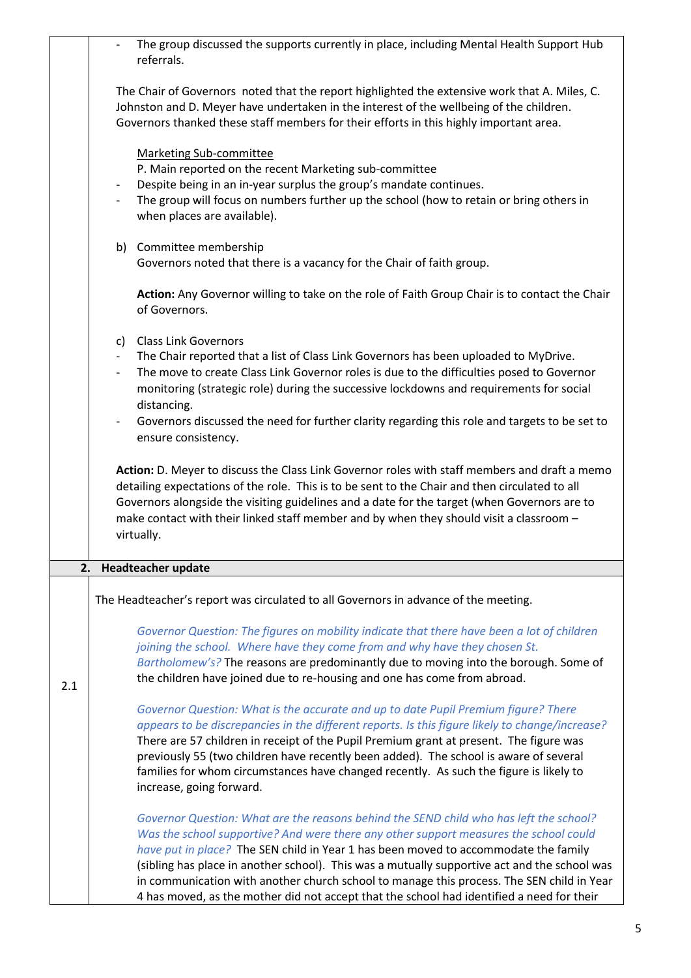|     | The group discussed the supports currently in place, including Mental Health Support Hub<br>referrals.                                                                                                                                                                                                                                                                                                                                                                                                                                                           |
|-----|------------------------------------------------------------------------------------------------------------------------------------------------------------------------------------------------------------------------------------------------------------------------------------------------------------------------------------------------------------------------------------------------------------------------------------------------------------------------------------------------------------------------------------------------------------------|
|     | The Chair of Governors noted that the report highlighted the extensive work that A. Miles, C.<br>Johnston and D. Meyer have undertaken in the interest of the wellbeing of the children.<br>Governors thanked these staff members for their efforts in this highly important area.                                                                                                                                                                                                                                                                               |
|     | <b>Marketing Sub-committee</b><br>P. Main reported on the recent Marketing sub-committee<br>Despite being in an in-year surplus the group's mandate continues.<br>$\overline{\phantom{a}}$<br>The group will focus on numbers further up the school (how to retain or bring others in<br>when places are available).                                                                                                                                                                                                                                             |
|     | b) Committee membership<br>Governors noted that there is a vacancy for the Chair of faith group.                                                                                                                                                                                                                                                                                                                                                                                                                                                                 |
|     | Action: Any Governor willing to take on the role of Faith Group Chair is to contact the Chair<br>of Governors.                                                                                                                                                                                                                                                                                                                                                                                                                                                   |
|     | c) Class Link Governors<br>The Chair reported that a list of Class Link Governors has been uploaded to MyDrive.<br>$\sim$<br>The move to create Class Link Governor roles is due to the difficulties posed to Governor<br>$\overline{\phantom{a}}$<br>monitoring (strategic role) during the successive lockdowns and requirements for social<br>distancing.<br>Governors discussed the need for further clarity regarding this role and targets to be set to<br>$\blacksquare$<br>ensure consistency.                                                           |
|     | Action: D. Meyer to discuss the Class Link Governor roles with staff members and draft a memo<br>detailing expectations of the role. This is to be sent to the Chair and then circulated to all<br>Governors alongside the visiting guidelines and a date for the target (when Governors are to<br>make contact with their linked staff member and by when they should visit a classroom -<br>virtually.                                                                                                                                                         |
| 2.  | <b>Headteacher update</b>                                                                                                                                                                                                                                                                                                                                                                                                                                                                                                                                        |
|     | The Headteacher's report was circulated to all Governors in advance of the meeting.                                                                                                                                                                                                                                                                                                                                                                                                                                                                              |
| 2.1 | Governor Question: The figures on mobility indicate that there have been a lot of children<br>joining the school. Where have they come from and why have they chosen St.<br>Bartholomew's? The reasons are predominantly due to moving into the borough. Some of<br>the children have joined due to re-housing and one has come from abroad.                                                                                                                                                                                                                     |
|     | Governor Question: What is the accurate and up to date Pupil Premium figure? There<br>appears to be discrepancies in the different reports. Is this figure likely to change/increase?<br>There are 57 children in receipt of the Pupil Premium grant at present. The figure was<br>previously 55 (two children have recently been added). The school is aware of several<br>families for whom circumstances have changed recently. As such the figure is likely to<br>increase, going forward.                                                                   |
|     | Governor Question: What are the reasons behind the SEND child who has left the school?<br>Was the school supportive? And were there any other support measures the school could<br>have put in place? The SEN child in Year 1 has been moved to accommodate the family<br>(sibling has place in another school). This was a mutually supportive act and the school was<br>in communication with another church school to manage this process. The SEN child in Year<br>4 has moved, as the mother did not accept that the school had identified a need for their |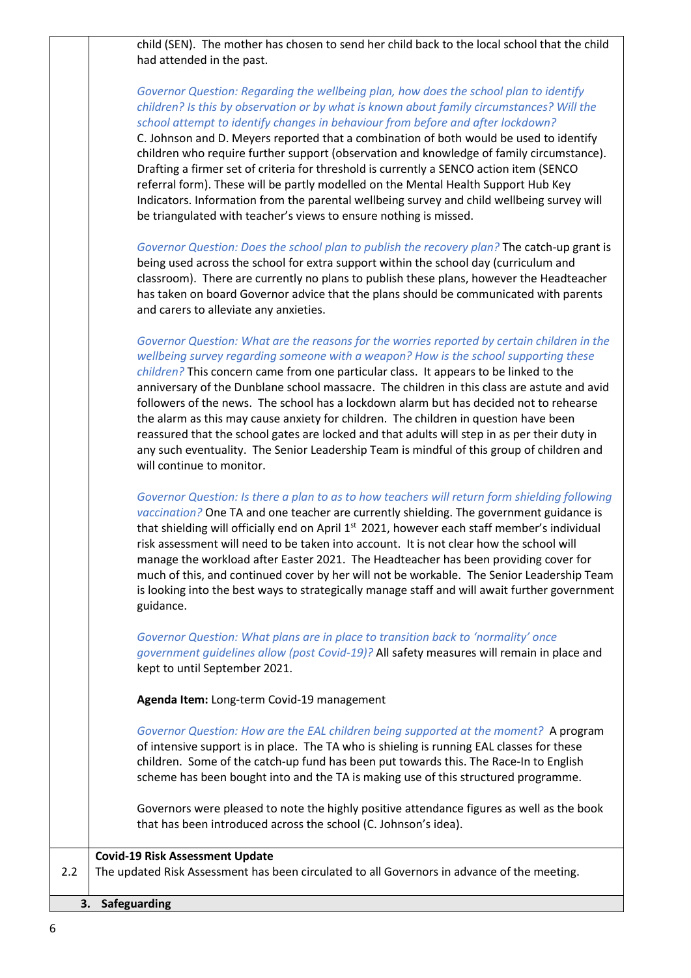child (SEN). The mother has chosen to send her child back to the local school that the child had attended in the past.

*Governor Question: Regarding the wellbeing plan, how does the school plan to identify* 

|     | children? Is this by observation or by what is known about family circumstances? Will the<br>school attempt to identify changes in behaviour from before and after lockdown?<br>C. Johnson and D. Meyers reported that a combination of both would be used to identify<br>children who require further support (observation and knowledge of family circumstance).<br>Drafting a firmer set of criteria for threshold is currently a SENCO action item (SENCO<br>referral form). These will be partly modelled on the Mental Health Support Hub Key<br>Indicators. Information from the parental wellbeing survey and child wellbeing survey will<br>be triangulated with teacher's views to ensure nothing is missed.                                                                  |
|-----|-----------------------------------------------------------------------------------------------------------------------------------------------------------------------------------------------------------------------------------------------------------------------------------------------------------------------------------------------------------------------------------------------------------------------------------------------------------------------------------------------------------------------------------------------------------------------------------------------------------------------------------------------------------------------------------------------------------------------------------------------------------------------------------------|
|     | Governor Question: Does the school plan to publish the recovery plan? The catch-up grant is<br>being used across the school for extra support within the school day (curriculum and<br>classroom). There are currently no plans to publish these plans, however the Headteacher<br>has taken on board Governor advice that the plans should be communicated with parents<br>and carers to alleviate any anxieties.                                                                                                                                                                                                                                                                                                                                                                      |
|     | Governor Question: What are the reasons for the worries reported by certain children in the<br>wellbeing survey regarding someone with a weapon? How is the school supporting these<br>children? This concern came from one particular class. It appears to be linked to the<br>anniversary of the Dunblane school massacre. The children in this class are astute and avid<br>followers of the news. The school has a lockdown alarm but has decided not to rehearse<br>the alarm as this may cause anxiety for children. The children in question have been<br>reassured that the school gates are locked and that adults will step in as per their duty in<br>any such eventuality. The Senior Leadership Team is mindful of this group of children and<br>will continue to monitor. |
|     | Governor Question: Is there a plan to as to how teachers will return form shielding following<br>vaccination? One TA and one teacher are currently shielding. The government guidance is<br>that shielding will officially end on April 1 <sup>st</sup> 2021, however each staff member's individual<br>risk assessment will need to be taken into account. It is not clear how the school will<br>manage the workload after Easter 2021. The Headteacher has been providing cover for<br>much of this, and continued cover by her will not be workable. The Senior Leadership Team<br>is looking into the best ways to strategically manage staff and will await further government<br>guidance.                                                                                       |
|     | Governor Question: What plans are in place to transition back to 'normality' once<br>government guidelines allow (post Covid-19)? All safety measures will remain in place and<br>kept to until September 2021.                                                                                                                                                                                                                                                                                                                                                                                                                                                                                                                                                                         |
|     | Agenda Item: Long-term Covid-19 management                                                                                                                                                                                                                                                                                                                                                                                                                                                                                                                                                                                                                                                                                                                                              |
|     | Governor Question: How are the EAL children being supported at the moment? A program<br>of intensive support is in place. The TA who is shieling is running EAL classes for these<br>children. Some of the catch-up fund has been put towards this. The Race-In to English<br>scheme has been bought into and the TA is making use of this structured programme.                                                                                                                                                                                                                                                                                                                                                                                                                        |
|     | Governors were pleased to note the highly positive attendance figures as well as the book<br>that has been introduced across the school (C. Johnson's idea).                                                                                                                                                                                                                                                                                                                                                                                                                                                                                                                                                                                                                            |
| 2.2 | <b>Covid-19 Risk Assessment Update</b><br>The updated Risk Assessment has been circulated to all Governors in advance of the meeting.                                                                                                                                                                                                                                                                                                                                                                                                                                                                                                                                                                                                                                                   |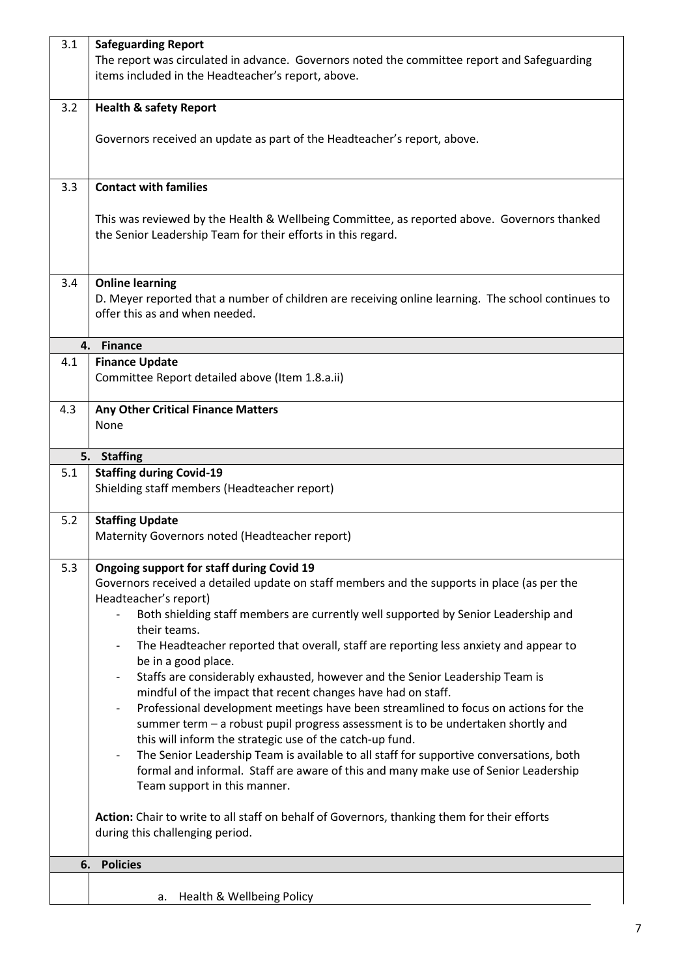| 3.1 | <b>Safeguarding Report</b>                                                                                                                          |
|-----|-----------------------------------------------------------------------------------------------------------------------------------------------------|
|     | The report was circulated in advance. Governors noted the committee report and Safeguarding                                                         |
|     | items included in the Headteacher's report, above.                                                                                                  |
|     |                                                                                                                                                     |
| 3.2 | <b>Health &amp; safety Report</b>                                                                                                                   |
|     |                                                                                                                                                     |
|     | Governors received an update as part of the Headteacher's report, above.                                                                            |
|     |                                                                                                                                                     |
| 3.3 | <b>Contact with families</b>                                                                                                                        |
|     |                                                                                                                                                     |
|     | This was reviewed by the Health & Wellbeing Committee, as reported above. Governors thanked                                                         |
|     | the Senior Leadership Team for their efforts in this regard.                                                                                        |
|     |                                                                                                                                                     |
|     |                                                                                                                                                     |
| 3.4 | <b>Online learning</b>                                                                                                                              |
|     | D. Meyer reported that a number of children are receiving online learning. The school continues to                                                  |
|     | offer this as and when needed.                                                                                                                      |
|     | 4. Finance                                                                                                                                          |
| 4.1 | <b>Finance Update</b>                                                                                                                               |
|     | Committee Report detailed above (Item 1.8.a.ii)                                                                                                     |
|     |                                                                                                                                                     |
| 4.3 | <b>Any Other Critical Finance Matters</b>                                                                                                           |
|     | None                                                                                                                                                |
|     |                                                                                                                                                     |
|     | 5. Staffing                                                                                                                                         |
| 5.1 | <b>Staffing during Covid-19</b>                                                                                                                     |
|     | Shielding staff members (Headteacher report)                                                                                                        |
| 5.2 | <b>Staffing Update</b>                                                                                                                              |
|     | Maternity Governors noted (Headteacher report)                                                                                                      |
|     |                                                                                                                                                     |
| 5.3 | Ongoing support for staff during Covid 19                                                                                                           |
|     | Governors received a detailed update on staff members and the supports in place (as per the                                                         |
|     | Headteacher's report)                                                                                                                               |
|     | Both shielding staff members are currently well supported by Senior Leadership and                                                                  |
|     | their teams.                                                                                                                                        |
|     | The Headteacher reported that overall, staff are reporting less anxiety and appear to                                                               |
|     | be in a good place.                                                                                                                                 |
|     | Staffs are considerably exhausted, however and the Senior Leadership Team is                                                                        |
|     | mindful of the impact that recent changes have had on staff.<br>Professional development meetings have been streamlined to focus on actions for the |
|     | summer term - a robust pupil progress assessment is to be undertaken shortly and                                                                    |
|     | this will inform the strategic use of the catch-up fund.                                                                                            |
|     | The Senior Leadership Team is available to all staff for supportive conversations, both<br>$\overline{\phantom{a}}$                                 |
|     | formal and informal. Staff are aware of this and many make use of Senior Leadership                                                                 |
|     | Team support in this manner.                                                                                                                        |
|     |                                                                                                                                                     |
|     | Action: Chair to write to all staff on behalf of Governors, thanking them for their efforts                                                         |
|     | during this challenging period.                                                                                                                     |
|     |                                                                                                                                                     |
| 6.  | <b>Policies</b>                                                                                                                                     |
|     |                                                                                                                                                     |
|     | Health & Wellbeing Policy<br>а.                                                                                                                     |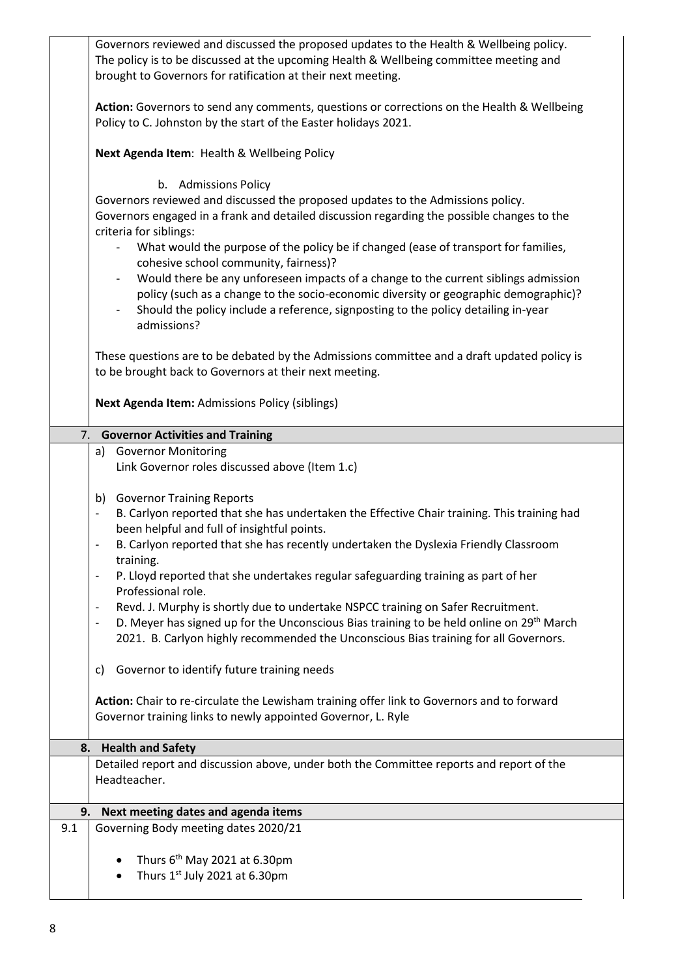Governors reviewed and discussed the proposed updates to the Health & Wellbeing policy. The policy is to be discussed at the upcoming Health & Wellbeing committee meeting and brought to Governors for ratification at their next meeting. **Action:** Governors to send any comments, questions or corrections on the Health & Wellbeing Policy to C. Johnston by the start of the Easter holidays 2021. **Next Agenda Item**: Health & Wellbeing Policy b. Admissions Policy Governors reviewed and discussed the proposed updates to the Admissions policy. Governors engaged in a frank and detailed discussion regarding the possible changes to the criteria for siblings: What would the purpose of the policy be if changed (ease of transport for families, cohesive school community, fairness)? - Would there be any unforeseen impacts of a change to the current siblings admission policy (such as a change to the socio-economic diversity or geographic demographic)? - Should the policy include a reference, signposting to the policy detailing in-year admissions? These questions are to be debated by the Admissions committee and a draft updated policy is to be brought back to Governors at their next meeting. **Next Agenda Item:** Admissions Policy (siblings) 7. **Governor Activities and Training** a) Governor Monitoring Link Governor roles discussed above (Item 1.c) b) Governor Training Reports B. Carlyon reported that she has undertaken the Effective Chair training. This training had been helpful and full of insightful points. B. Carlyon reported that she has recently undertaken the Dyslexia Friendly Classroom training. P. Lloyd reported that she undertakes regular safeguarding training as part of her Professional role. Revd. J. Murphy is shortly due to undertake NSPCC training on Safer Recruitment. D. Meyer has signed up for the Unconscious Bias training to be held online on 29<sup>th</sup> March 2021. B. Carlyon highly recommended the Unconscious Bias training for all Governors. c) Governor to identify future training needs **Action:** Chair to re-circulate the Lewisham training offer link to Governors and to forward Governor training links to newly appointed Governor, L. Ryle **8. Health and Safety** Detailed report and discussion above, under both the Committee reports and report of the Headteacher. **9. Next meeting dates and agenda items**  9.1 Governing Body meeting dates 2020/21 Thurs  $6<sup>th</sup>$  May 2021 at 6.30pm • Thurs  $1<sup>st</sup>$  July 2021 at 6.30pm